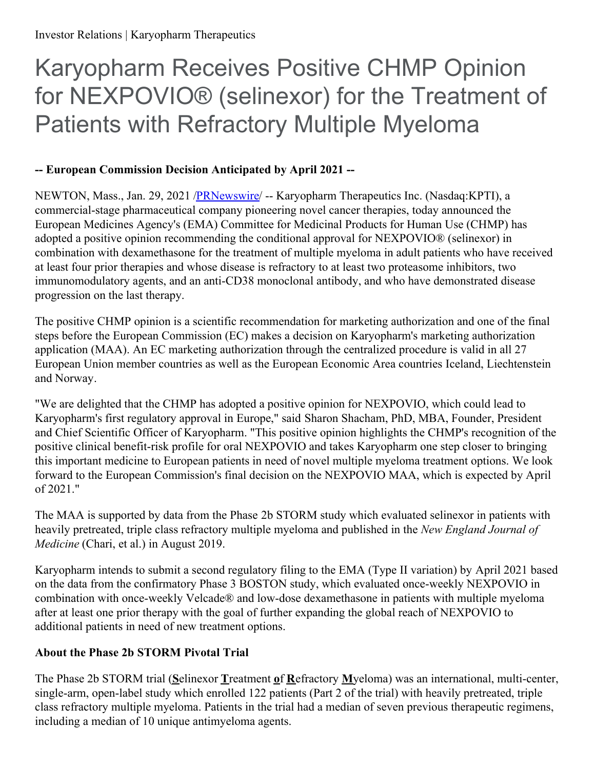# Karyopharm Receives Positive CHMP Opinion for NEXPOVIO® (selinexor) for the Treatment of Patients with Refractory Multiple Myeloma

# **-- European Commission Decision Anticipated by April 2021 --**

NEWTON, Mass., Jan. 29, 2021 [/PRNewswire](http://www.prnewswire.com/)/ -- Karyopharm Therapeutics Inc. (Nasdaq:KPTI), a commercial-stage pharmaceutical company pioneering novel cancer therapies, today announced the European Medicines Agency's (EMA) Committee for Medicinal Products for Human Use (CHMP) has adopted a positive opinion recommending the conditional approval for NEXPOVIO® (selinexor) in combination with dexamethasone for the treatment of multiple myeloma in adult patients who have received at least four prior therapies and whose disease is refractory to at least two proteasome inhibitors, two immunomodulatory agents, and an anti-CD38 monoclonal antibody, and who have demonstrated disease progression on the last therapy.

The positive CHMP opinion is a scientific recommendation for marketing authorization and one of the final steps before the European Commission (EC) makes a decision on Karyopharm's marketing authorization application (MAA). An EC marketing authorization through the centralized procedure is valid in all 27 European Union member countries as well as the European Economic Area countries Iceland, Liechtenstein and Norway.

"We are delighted that the CHMP has adopted a positive opinion for NEXPOVIO, which could lead to Karyopharm's first regulatory approval in Europe," said Sharon Shacham, PhD, MBA, Founder, President and Chief Scientific Officer of Karyopharm. "This positive opinion highlights the CHMP's recognition of the positive clinical benefit-risk profile for oral NEXPOVIO and takes Karyopharm one step closer to bringing this important medicine to European patients in need of novel multiple myeloma treatment options. We look forward to the European Commission's final decision on the NEXPOVIO MAA, which is expected by April of 2021."

The MAA is supported by data from the Phase 2b STORM study which evaluated selinexor in patients with heavily pretreated, triple class refractory multiple myeloma and published in the *New England Journal of Medicine* (Chari, et al.) in August 2019.

Karyopharm intends to submit a second regulatory filing to the EMA (Type II variation) by April 2021 based on the data from the confirmatory Phase 3 BOSTON study, which evaluated once-weekly NEXPOVIO in combination with once-weekly Velcade® and low-dose dexamethasone in patients with multiple myeloma after at least one prior therapy with the goal of further expanding the global reach of NEXPOVIO to additional patients in need of new treatment options.

# **About the Phase 2b STORM Pivotal Trial**

The Phase 2b STORM trial (**S**elinexor **T**reatment **o**f **R**efractory **M**yeloma) was an international, multi-center, single-arm, open-label study which enrolled 122 patients (Part 2 of the trial) with heavily pretreated, triple class refractory multiple myeloma. Patients in the trial had a median of seven previous therapeutic regimens, including a median of 10 unique antimyeloma agents.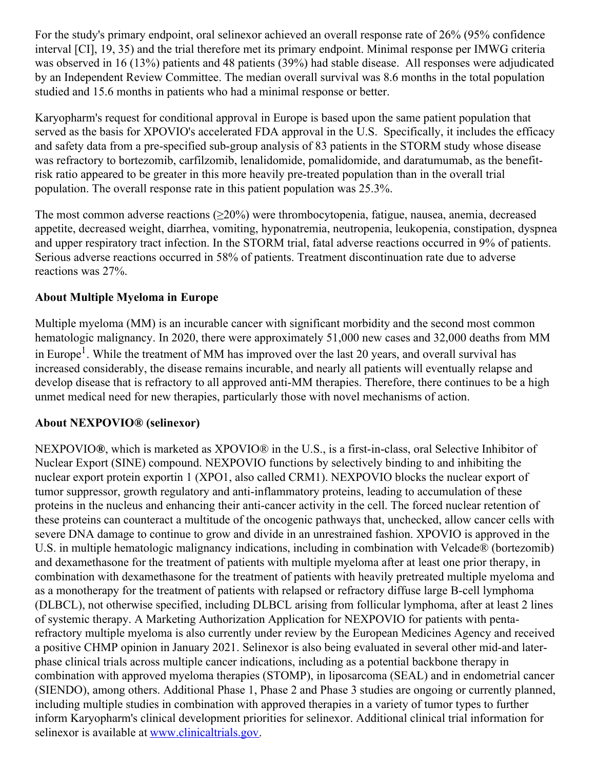For the study's primary endpoint, oral selinexor achieved an overall response rate of 26% (95% confidence interval [CI], 19, 35) and the trial therefore met its primary endpoint. Minimal response per IMWG criteria was observed in 16 (13%) patients and 48 patients (39%) had stable disease. All responses were adjudicated by an Independent Review Committee. The median overall survival was 8.6 months in the total population studied and 15.6 months in patients who had a minimal response or better.

Karyopharm's request for conditional approval in Europe is based upon the same patient population that served as the basis for XPOVIO's accelerated FDA approval in the U.S. Specifically, it includes the efficacy and safety data from a pre-specified sub-group analysis of 83 patients in the STORM study whose disease was refractory to bortezomib, carfilzomib, lenalidomide, pomalidomide, and daratumumab, as the benefitrisk ratio appeared to be greater in this more heavily pre-treated population than in the overall trial population. The overall response rate in this patient population was 25.3%.

The most common adverse reactions  $(\geq 20\%)$  were thrombocytopenia, fatigue, nausea, anemia, decreased appetite, decreased weight, diarrhea, vomiting, hyponatremia, neutropenia, leukopenia, constipation, dyspnea and upper respiratory tract infection. In the STORM trial, fatal adverse reactions occurred in 9% of patients. Serious adverse reactions occurred in 58% of patients. Treatment discontinuation rate due to adverse reactions was 27%.

#### **About Multiple Myeloma in Europe**

Multiple myeloma (MM) is an incurable cancer with significant morbidity and the second most common hematologic malignancy. In 2020, there were approximately 51,000 new cases and 32,000 deaths from MM in Europe<sup>1</sup>. While the treatment of MM has improved over the last 20 years, and overall survival has increased considerably, the disease remains incurable, and nearly all patients will eventually relapse and develop disease that is refractory to all approved anti-MM therapies. Therefore, there continues to be a high unmet medical need for new therapies, particularly those with novel mechanisms of action.

#### **About NEXPOVIO® (selinexor)**

NEXPOVIO**®**, which is marketed as XPOVIO® in the U.S., is a first-in-class, oral Selective Inhibitor of Nuclear Export (SINE) compound. NEXPOVIO functions by selectively binding to and inhibiting the nuclear export protein exportin 1 (XPO1, also called CRM1). NEXPOVIO blocks the nuclear export of tumor suppressor, growth regulatory and anti-inflammatory proteins, leading to accumulation of these proteins in the nucleus and enhancing their anti-cancer activity in the cell. The forced nuclear retention of these proteins can counteract a multitude of the oncogenic pathways that, unchecked, allow cancer cells with severe DNA damage to continue to grow and divide in an unrestrained fashion. XPOVIO is approved in the U.S. in multiple hematologic malignancy indications, including in combination with Velcade® (bortezomib) and dexamethasone for the treatment of patients with multiple myeloma after at least one prior therapy, in combination with dexamethasone for the treatment of patients with heavily pretreated multiple myeloma and as a monotherapy for the treatment of patients with relapsed or refractory diffuse large B-cell lymphoma (DLBCL), not otherwise specified, including DLBCL arising from follicular lymphoma, after at least 2 lines of systemic therapy. A Marketing Authorization Application for NEXPOVIO for patients with pentarefractory multiple myeloma is also currently under review by the European Medicines Agency and received a positive CHMP opinion in January 2021. Selinexor is also being evaluated in several other mid-and laterphase clinical trials across multiple cancer indications, including as a potential backbone therapy in combination with approved myeloma therapies (STOMP), in liposarcoma (SEAL) and in endometrial cancer (SIENDO), among others. Additional Phase 1, Phase 2 and Phase 3 studies are ongoing or currently planned, including multiple studies in combination with approved therapies in a variety of tumor types to further inform Karyopharm's clinical development priorities for selinexor. Additional clinical trial information for selinexor is available at [www.clinicaltrials.gov](https://c212.net/c/link/?t=0&l=en&o=3050387-1&h=2914861943&u=http%3A%2F%2Fwww.clinicaltrials.gov%2F&a=www.clinicaltrials.gov).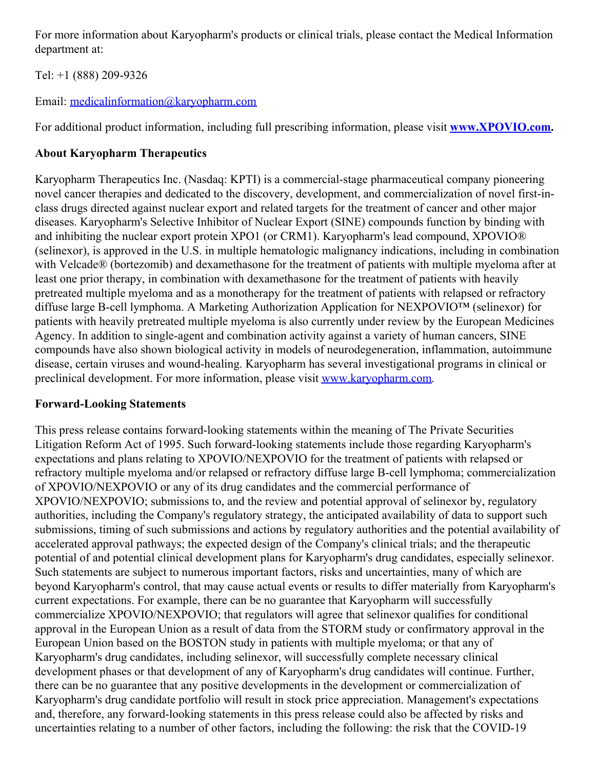For more information about Karyopharm's products or clinical trials, please contact the Medical Information department at:

Tel: +1 (888) 209-9326

Email: [medicalinformation@karyopharm.com](mailto:medicalinformation@karyopharm.com)

For additional product information, including full prescribing information, please visit **[www.XPOVIO.com](https://c212.net/c/link/?t=0&l=en&o=3050387-1&h=50370185&u=http%3A%2F%2Fwww.xpovio.com%2F&a=www.XPOVIO.com).**

# **About Karyopharm Therapeutics**

Karyopharm Therapeutics Inc. (Nasdaq: KPTI) is a commercial-stage pharmaceutical company pioneering novel cancer therapies and dedicated to the discovery, development, and commercialization of novel first-inclass drugs directed against nuclear export and related targets for the treatment of cancer and other major diseases. Karyopharm's Selective Inhibitor of Nuclear Export (SINE) compounds function by binding with and inhibiting the nuclear export protein XPO1 (or CRM1). Karyopharm's lead compound, XPOVIO® (selinexor), is approved in the U.S. in multiple hematologic malignancy indications, including in combination with Velcade® (bortezomib) and dexamethasone for the treatment of patients with multiple myeloma after at least one prior therapy, in combination with dexamethasone for the treatment of patients with heavily pretreated multiple myeloma and as a monotherapy for the treatment of patients with relapsed or refractory diffuse large B-cell lymphoma. A Marketing Authorization Application for NEXPOVIO™ (selinexor) for patients with heavily pretreated multiple myeloma is also currently under review by the European Medicines Agency. In addition to single-agent and combination activity against a variety of human cancers, SINE compounds have also shown biological activity in models of neurodegeneration, inflammation, autoimmune disease, certain viruses and wound-healing. Karyopharm has several investigational programs in clinical or preclinical development. For more information, please visit [www.karyopharm.com](https://c212.net/c/link/?t=0&l=en&o=3050387-1&h=2305430341&u=http%3A%2F%2Fwww.karyopharm.com%2F&a=www.karyopharm.com).

# **Forward-Looking Statements**

This press release contains forward-looking statements within the meaning of The Private Securities Litigation Reform Act of 1995. Such forward-looking statements include those regarding Karyopharm's expectations and plans relating to XPOVIO/NEXPOVIO for the treatment of patients with relapsed or refractory multiple myeloma and/or relapsed or refractory diffuse large B-cell lymphoma; commercialization of XPOVIO/NEXPOVIO or any of its drug candidates and the commercial performance of XPOVIO/NEXPOVIO; submissions to, and the review and potential approval of selinexor by, regulatory authorities, including the Company's regulatory strategy, the anticipated availability of data to support such submissions, timing of such submissions and actions by regulatory authorities and the potential availability of accelerated approval pathways; the expected design of the Company's clinical trials; and the therapeutic potential of and potential clinical development plans for Karyopharm's drug candidates, especially selinexor. Such statements are subject to numerous important factors, risks and uncertainties, many of which are beyond Karyopharm's control, that may cause actual events or results to differ materially from Karyopharm's current expectations. For example, there can be no guarantee that Karyopharm will successfully commercialize XPOVIO/NEXPOVIO; that regulators will agree that selinexor qualifies for conditional approval in the European Union as a result of data from the STORM study or confirmatory approval in the European Union based on the BOSTON study in patients with multiple myeloma; or that any of Karyopharm's drug candidates, including selinexor, will successfully complete necessary clinical development phases or that development of any of Karyopharm's drug candidates will continue. Further, there can be no guarantee that any positive developments in the development or commercialization of Karyopharm's drug candidate portfolio will result in stock price appreciation. Management's expectations and, therefore, any forward-looking statements in this press release could also be affected by risks and uncertainties relating to a number of other factors, including the following: the risk that the COVID-19